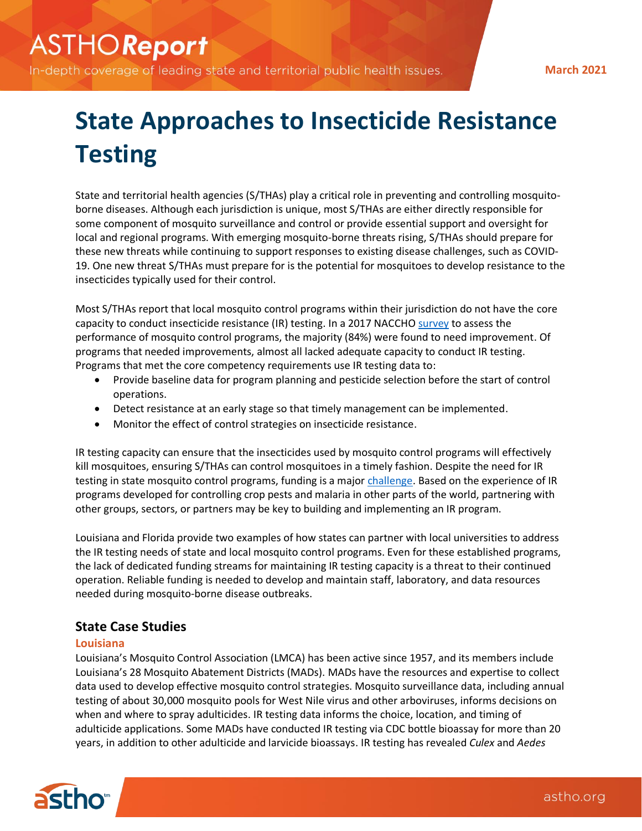In-depth coverage of leading state and territorial public health issues.

**March 2021**

# **State Approaches to Insecticide Resistance Testing**

State and territorial health agencies (S/THAs) play a critical role in preventing and controlling mosquitoborne diseases. Although each jurisdiction is unique, most S/THAs are either directly responsible for some component of mosquito surveillance and control or provide essential support and oversight for local and regional programs. With emerging mosquito-borne threats rising, S/THAs should prepare for these new threats while continuing to support responses to existing disease challenges, such as COVID-19. One new threat S/THAs must prepare for is the potential for mosquitoes to develop resistance to the insecticides typically used for their control.

Most S/THAs report that local mosquito control programs within their jurisdiction do not have the core capacity to conduct insecticide resistance (IR) testing. In a 2017 NACCHO [survey](https://www.naccho.org/uploads/downloadable-resources/Mosquito-control-in-the-U.S.-Report.pdf) to assess the performance of mosquito control programs, the majority (84%) were found to need improvement. Of programs that needed improvements, almost all lacked adequate capacity to conduct IR testing. Programs that met the core competency requirements use IR testing data to:

- Provide baseline data for program planning and pesticide selection before the start of control operations.
- Detect resistance at an early stage so that timely management can be implemented.
- Monitor the effect of control strategies on insecticide resistance.

IR testing capacity can ensure that the insecticides used by mosquito control programs will effectively kill mosquitoes, ensuring S/THAs can control mosquitoes in a timely fashion. Despite the need for IR testing in state mosquito control programs, funding is a major [challenge.](https://www.ncbi.nlm.nih.gov/pmc/articles/PMC6786541/) Based on the experience of IR programs developed for controlling crop pests and malaria in other parts of the world, partnering with other groups, sectors, or partners may be key to building and implementing an IR program.

Louisiana and Florida provide two examples of how states can partner with local universities to address the IR testing needs of state and local mosquito control programs. Even for these established programs, the lack of dedicated funding streams for maintaining IR testing capacity is a threat to their continued operation. Reliable funding is needed to develop and maintain staff, laboratory, and data resources needed during mosquito-borne disease outbreaks.

# **State Case Studies**

## **Louisiana**

Louisiana's Mosquito Control Association (LMCA) has been active since 1957, and its members include Louisiana's 28 Mosquito Abatement Districts (MADs). MADs have the resources and expertise to collect data used to develop effective mosquito control strategies. Mosquito surveillance data, including annual testing of about 30,000 mosquito pools for West Nile virus and other arboviruses, informs decisions on when and where to spray adulticides. IR testing data informs the choice, location, and timing of adulticide applications. Some MADs have conducted IR testing via CDC bottle bioassay for more than 20 years, in addition to other adulticide and larvicide bioassays. IR testing has revealed *Culex* and *Aedes*

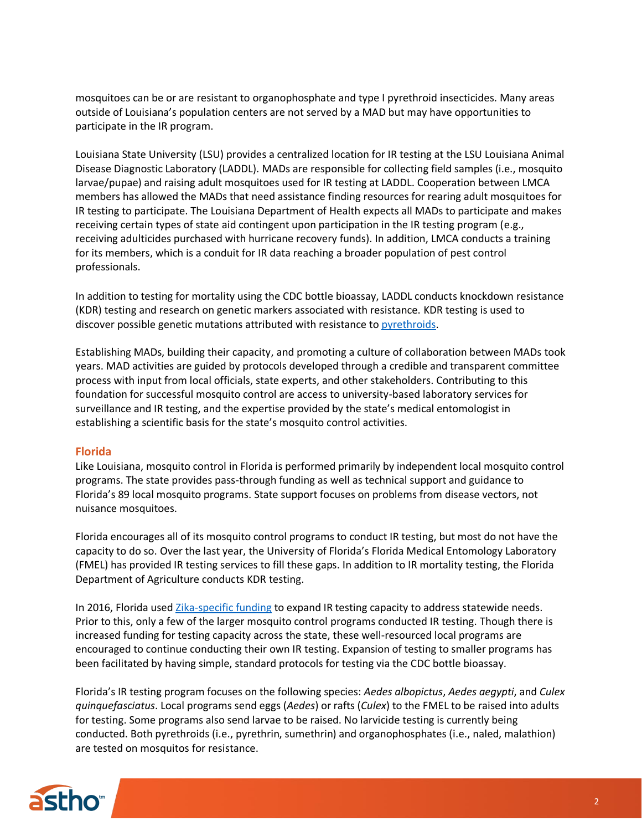mosquitoes can be or are resistant to organophosphate and type I pyrethroid insecticides. Many areas outside of Louisiana's population centers are not served by a MAD but may have opportunities to participate in the IR program.

Louisiana State University (LSU) provides a centralized location for IR testing at the LSU Louisiana Animal Disease Diagnostic Laboratory (LADDL). MADs are responsible for collecting field samples (i.e., mosquito larvae/pupae) and raising adult mosquitoes used for IR testing at LADDL. Cooperation between LMCA members has allowed the MADs that need assistance finding resources for rearing adult mosquitoes for IR testing to participate. The Louisiana Department of Health expects all MADs to participate and makes receiving certain types of state aid contingent upon participation in the IR testing program (e.g., receiving adulticides purchased with hurricane recovery funds). In addition, LMCA conducts a training for its members, which is a conduit for IR data reaching a broader population of pest control professionals.

In addition to testing for mortality using the CDC bottle bioassay, LADDL conducts knockdown resistance (KDR) testing and research on genetic markers associated with resistance. KDR testing is used to discover possible genetic mutations attributed with resistance to [pyrethroids.](https://parasitesandvectors.biomedcentral.com/articles/10.1186/s13071-019-3423-x)

Establishing MADs, building their capacity, and promoting a culture of collaboration between MADs took years. MAD activities are guided by protocols developed through a credible and transparent committee process with input from local officials, state experts, and other stakeholders. Contributing to this foundation for successful mosquito control are access to university-based laboratory services for surveillance and IR testing, and the expertise provided by the state's medical entomologist in establishing a scientific basis for the state's mosquito control activities.

#### **Florida**

Like Louisiana, mosquito control in Florida is performed primarily by independent local mosquito control programs. The state provides pass-through funding as well as technical support and guidance to Florida's 89 local mosquito programs. State support focuses on problems from disease vectors, not nuisance mosquitoes.

Florida encourages all of its mosquito control programs to conduct IR testing, but most do not have the capacity to do so. Over the last year, the University of Florida's Florida Medical Entomology Laboratory (FMEL) has provided IR testing services to fill these gaps. In addition to IR mortality testing, the Florida Department of Agriculture conducts KDR testing.

In 2016, Florida use[d Zika-specific](https://www.cdc.gov/media/releases/2016/p1014-zika-transmission.html) funding to expand IR testing capacity to address statewide needs. Prior to this, only a few of the larger mosquito control programs conducted IR testing. Though there is increased funding for testing capacity across the state, these well-resourced local programs are encouraged to continue conducting their own IR testing. Expansion of testing to smaller programs has been facilitated by having simple, standard protocols for testing via the CDC bottle bioassay.

Florida's IR testing program focuses on the following species: *Aedes albopictus*, *Aedes aegypti*, and *Culex quinquefasciatus*. Local programs send eggs (*Aedes*) or rafts (*Culex*) to the FMEL to be raised into adults for testing. Some programs also send larvae to be raised. No larvicide testing is currently being conducted. Both pyrethroids (i.e., pyrethrin, sumethrin) and organophosphates (i.e., naled, malathion) are tested on mosquitos for resistance.

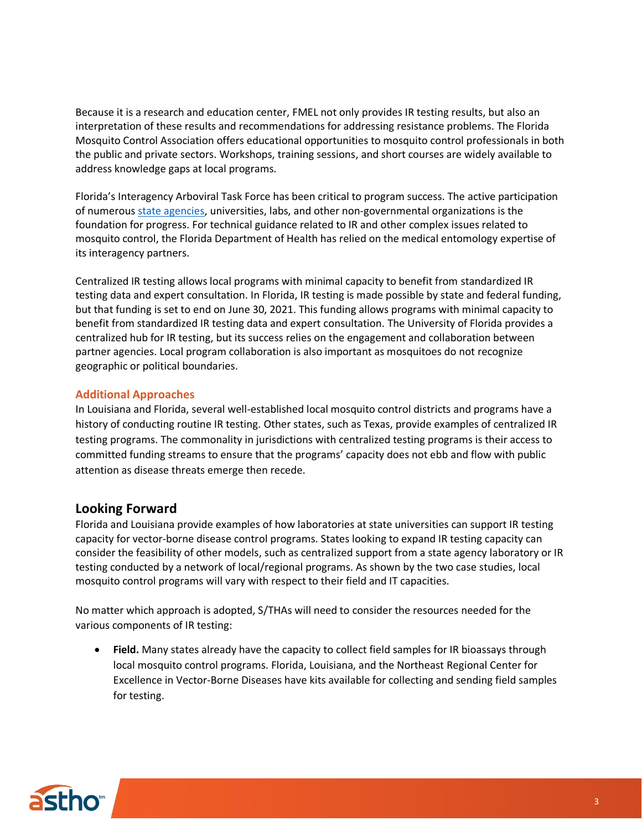Because it is a research and education center, FMEL not only provides IR testing results, but also an interpretation of these results and recommendations for addressing resistance problems. The Florida Mosquito Control Association offers educational opportunities to mosquito control professionals in both the public and private sectors. Workshops, training sessions, and short courses are widely available to address knowledge gaps at local programs.

Florida's Interagency Arboviral Task Force has been critical to program success. The active participation of numerou[s state agencies,](http://www.floridahealth.gov/diseases-and-conditions/mosquito-borne-diseases/_documents/guidebook-interagency-arbovirus-task-force-2018.pdf) universities, labs, and other non-governmental organizations is the foundation for progress. For technical guidance related to IR and other complex issues related to mosquito control, the Florida Department of Health has relied on the medical entomology expertise of its interagency partners.

Centralized IR testing allows local programs with minimal capacity to benefit from standardized IR testing data and expert consultation. In Florida, IR testing is made possible by state and federal funding, but that funding is set to end on June 30, 2021. This funding allows programs with minimal capacity to benefit from standardized IR testing data and expert consultation. The University of Florida provides a centralized hub for IR testing, but its success relies on the engagement and collaboration between partner agencies. Local program collaboration is also important as mosquitoes do not recognize geographic or political boundaries.

## **Additional Approaches**

In Louisiana and Florida, several well-established local mosquito control districts and programs have a history of conducting routine IR testing. Other states, such as Texas, provide examples of centralized IR testing programs. The commonality in jurisdictions with centralized testing programs is their access to committed funding streams to ensure that the programs' capacity does not ebb and flow with public attention as disease threats emerge then recede.

# **Looking Forward**

Florida and Louisiana provide examples of how laboratories at state universities can support IR testing capacity for vector-borne disease control programs. States looking to expand IR testing capacity can consider the feasibility of other models, such as centralized support from a state agency laboratory or IR testing conducted by a network of local/regional programs. As shown by the two case studies, local mosquito control programs will vary with respect to their field and IT capacities.

No matter which approach is adopted, S/THAs will need to consider the resources needed for the various components of IR testing:

• **Field.** Many states already have the capacity to collect field samples for IR bioassays through local mosquito control programs. Florida, Louisiana, and the Northeast Regional Center for Excellence in Vector-Borne Diseases have kits available for collecting and sending field samples for testing.

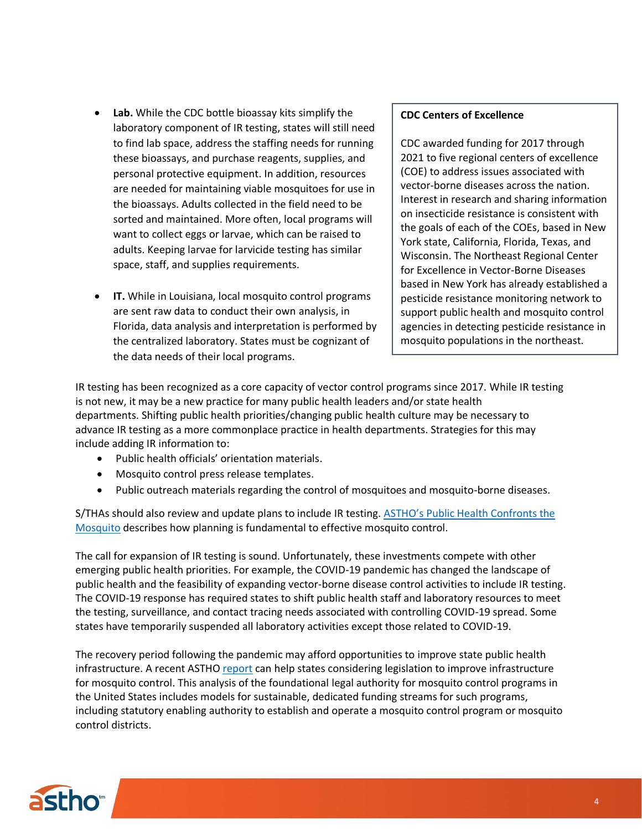- **Lab.** While the CDC bottle bioassay kits simplify the laboratory component of IR testing, states will still need to find lab space, address the staffing needs for running these bioassays, and purchase reagents, supplies, and personal protective equipment. In addition, resources are needed for maintaining viable mosquitoes for use in the bioassays. Adults collected in the field need to be sorted and maintained. More often, local programs will want to collect eggs or larvae, which can be raised to adults. Keeping larvae for larvicide testing has similar space, staff, and supplies requirements.
- **IT.** While in Louisiana, local mosquito control programs are sent raw data to conduct their own analysis, in Florida, data analysis and interpretation is performed by the centralized laboratory. States must be cognizant of the data needs of their local programs.

#### **CDC Centers of Excellence**

CDC awarded funding for 2017 through 2021 to five regional centers of excellence (COE) to address issues associated with vector-borne diseases across the nation. Interest in research and sharing information on insecticide resistance is consistent with the goals of each of the COEs, based in New York state, California, Florida, Texas, and Wisconsin. The Northeast Regional Center for Excellence in Vector-Borne Diseases based in New York has already established a pesticide resistance monitoring network to support public health and mosquito control agencies in detecting pesticide resistance in mosquito populations in the northeast.

IR testing has been recognized as a core capacity of vector control programs since 2017. While IR testing is not new, it may be a new practice for many public health leaders and/or state health departments. Shifting public health priorities/changing public health culture may be necessary to advance IR testing as a more commonplace practice in health departments. Strategies for this may include adding IR information to:

- Public health officials' orientation materials.
- Mosquito control press release templates.
- Public outreach materials regarding the control of mosquitoes and mosquito-borne diseases.

S/THAs should also review and update plans to include IR testing. ASTHO's Public Health Confronts the [Mosquito](https://www.astho.org/generickey/GenericKeyDetails.aspx?id=21342&terms=public+health+confronts+the+mosquito) describes how planning is fundamental to effective mosquito control.

The call for expansion of IR testing is sound. Unfortunately, these investments compete with other emerging public health priorities. For example, the COVID-19 pandemic has changed the landscape of public health and the feasibility of expanding vector-borne disease control activities to include IR testing. The COVID-19 response has required states to shift public health staff and laboratory resources to meet the testing, surveillance, and contact tracing needs associated with controlling COVID-19 spread. Some states have temporarily suspended all laboratory activities except those related to COVID-19.

The recovery period following the pandemic may afford opportunities to improve state public health infrastructure. A recent ASTH[O report](https://www.astho.org/generickey/GenericKeyDetails.aspx?id=20358&terms=mosquito) can help states considering legislation to improve infrastructure for mosquito control. This analysis of the foundational legal authority for mosquito control programs in the United States includes models for sustainable, dedicated funding streams for such programs, including statutory enabling authority to establish and operate a mosquito control program or mosquito control districts.